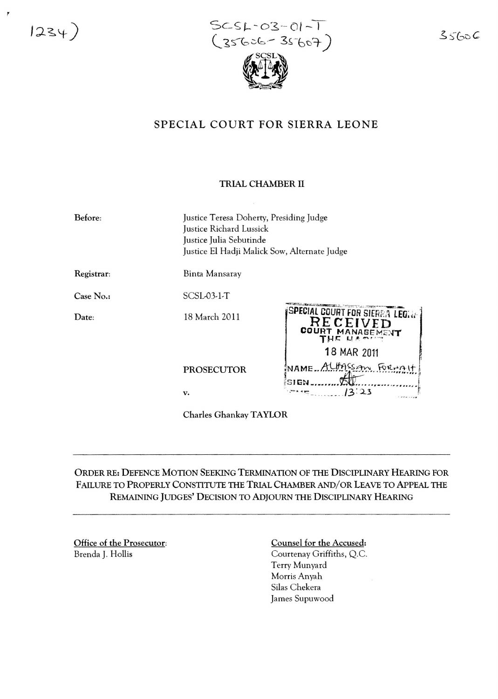$1234)$ 

 $\overline{\phantom{a}}$ 

 $SCSL-03-01-1$  $(35606 - 35607)$ 

## $35606$

# SPECIAL COURT FOR SIERRA LEONE

#### TRIAL CHAMBER II

| Before:    | Justice Teresa Doherty, Presiding Judge<br>Justice Richard Lussick<br>Justice Julia Sebutinde<br>Justice El Hadji Malick Sow, Alternate Judge |                                                                                                |
|------------|-----------------------------------------------------------------------------------------------------------------------------------------------|------------------------------------------------------------------------------------------------|
| Registrar: | Binta Mansaray                                                                                                                                |                                                                                                |
| Case No.:  | $SCSL03-1-T$                                                                                                                                  |                                                                                                |
| Date:      | 18 March 2011                                                                                                                                 | Special court for sierra legale<br>RECEIVED<br><b>COURT</b><br>MANAGEMENT<br>$L_{1}$ is matrix |
|            | <b>PROSECUTOR</b>                                                                                                                             | 18 MAR 2011<br>NAME ALLASSAN FORMAL<br>SIGN                                                    |
|            | v.                                                                                                                                            | 13:23                                                                                          |

Charles Ghankay TAYLOR

## ORDER RE: DEFENCE MOTION SEEKING TERMINATION OF THE DISCIPLINARY HEARING FOR FAILURE TO PROPERLY CONSTITUTE THE TRIAL CHAMBER AND/OR LEAVE TO APPEAL THE REMAINING JUDGES' DECISION TO ADJOURN THE DISCIPLINARY HEARING

Office of the Prosecutor: Brenda J. Hollis

### Counsel for the Accused: Courtenay Griffiths, Q.c. Terry Munyard Morris Anyah Silas Chekera James Supuwood